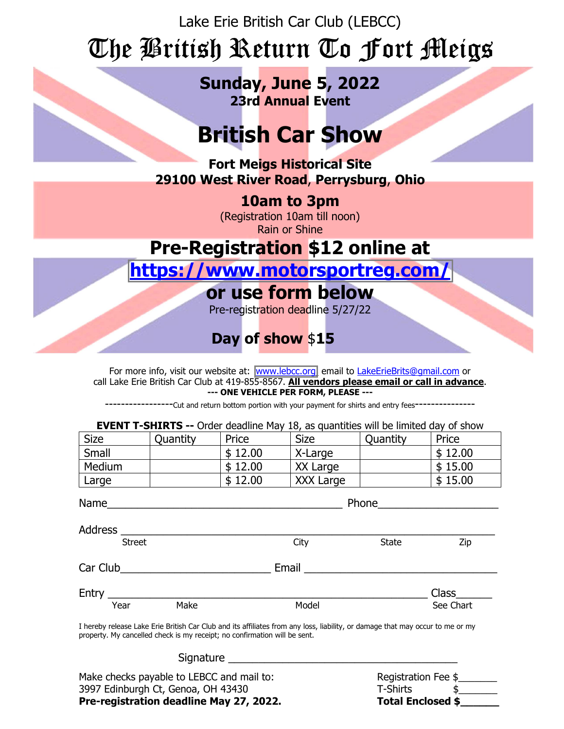Lake Erie British Car Club (LEBCC)

# The British Return To Fort Meigs

**Sunday, June 5, 2022 23rd Annual Event** 

## **British Car Show**

**Fort Meigs Historical Site 29100 West River Road**, **Perrysburg**, **Ohio**

> **10am to 3pm** (Registration 10am till noon) Rain or Shine

## **Pre-Registration \$12 online at**

**[https://www.motorsportreg.com/](https://www.motorsportreg.com)** 

### **or use form below**

Pre-registration deadline 5/27/22

#### **Day of show** \$**15**

For more info, visit our website at: [www.lebcc.org,](www.lebcc.org) email to LakeErieBrits@gmail.com or call Lake Erie British Car Club at 419-855-8567. **All vendors please email or call in advance**. **--- ONE VEHICLE PER FORM, PLEASE ---** 

---Cut and return bottom portion with your payment for shirts and entry fees-

**EVENT T-SHIRTS --** Order deadline May 18, as quantities will be limited day of show

|                                                                                                                                                                                                            |          | $5.95$ . $4.55$ . $1.75$ . | $10l$ as quarreless room be immediately |                     |           |  |  |
|------------------------------------------------------------------------------------------------------------------------------------------------------------------------------------------------------------|----------|----------------------------|-----------------------------------------|---------------------|-----------|--|--|
| Size                                                                                                                                                                                                       | Quantity | Price                      | Size                                    | Quantity            | Price     |  |  |
| Small                                                                                                                                                                                                      |          | \$12.00                    | X-Large                                 |                     | \$12.00   |  |  |
| Medium                                                                                                                                                                                                     |          | \$12.00                    | XX Large                                | \$15.00             |           |  |  |
| Large                                                                                                                                                                                                      |          | \$12.00                    | XXX Large                               | \$15.00             |           |  |  |
| Name<br>Phone                                                                                                                                                                                              |          |                            |                                         |                     |           |  |  |
| Address ______________________                                                                                                                                                                             |          |                            |                                         |                     |           |  |  |
| <b>Street</b>                                                                                                                                                                                              |          |                            | City                                    | State               | Zip       |  |  |
| Email <u>________________________</u>                                                                                                                                                                      |          |                            |                                         |                     |           |  |  |
|                                                                                                                                                                                                            |          |                            |                                         |                     | Class____ |  |  |
| Year                                                                                                                                                                                                       | Make     |                            | Model                                   |                     | See Chart |  |  |
| I hereby release Lake Erie British Car Club and its affiliates from any loss, liability, or damage that may occur to me or my<br>property. My cancelled check is my receipt; no confirmation will be sent. |          |                            |                                         |                     |           |  |  |
|                                                                                                                                                                                                            |          |                            |                                         |                     |           |  |  |
| Make checks payable to LEBCC and mail to:                                                                                                                                                                  |          |                            |                                         | Registration Fee \$ |           |  |  |

3997 Edinburgh Ct, Genoa, OH 43430

**Pre-registration deadline May 27, 2022.** 

| Registration Fee \$      |  |  |  |  |  |
|--------------------------|--|--|--|--|--|
| <b>T-Shirts</b>          |  |  |  |  |  |
| <b>Total Enclosed \$</b> |  |  |  |  |  |